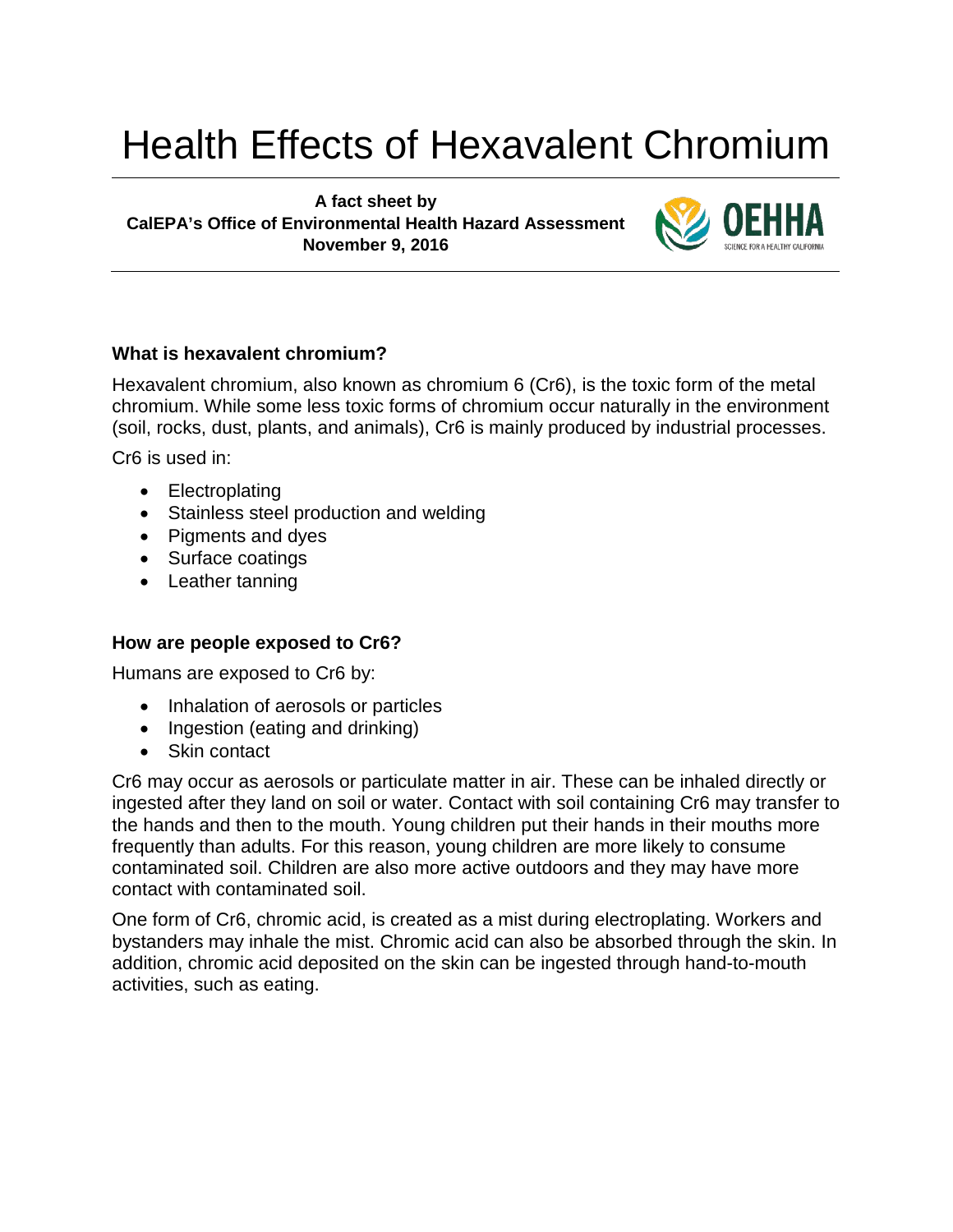# Health Effects of Hexavalent Chromium

**A fact sheet by CalEPA's Office of Environmental Health Hazard Assessment November 9, 2016**



## **What is hexavalent chromium?**

Hexavalent chromium, also known as chromium 6 (Cr6), is the toxic form of the metal chromium. While some less toxic forms of chromium occur naturally in the environment (soil, rocks, dust, plants, and animals), Cr6 is mainly produced by industrial processes.

Cr6 is used in:

- Electroplating
- Stainless steel production and welding
- Pigments and dyes
- Surface coatings
- Leather tanning

## **How are people exposed to Cr6?**

Humans are exposed to Cr6 by:

- Inhalation of aerosols or particles
- Ingestion (eating and drinking)
- Skin contact

Cr6 may occur as aerosols or particulate matter in air. These can be inhaled directly or ingested after they land on soil or water. Contact with soil containing Cr6 may transfer to the hands and then to the mouth. Young children put their hands in their mouths more frequently than adults. For this reason, young children are more likely to consume contaminated soil. Children are also more active outdoors and they may have more contact with contaminated soil.

One form of Cr6, chromic acid, is created as a mist during electroplating. Workers and bystanders may inhale the mist. Chromic acid can also be absorbed through the skin. In addition, chromic acid deposited on the skin can be ingested through hand-to-mouth activities, such as eating.